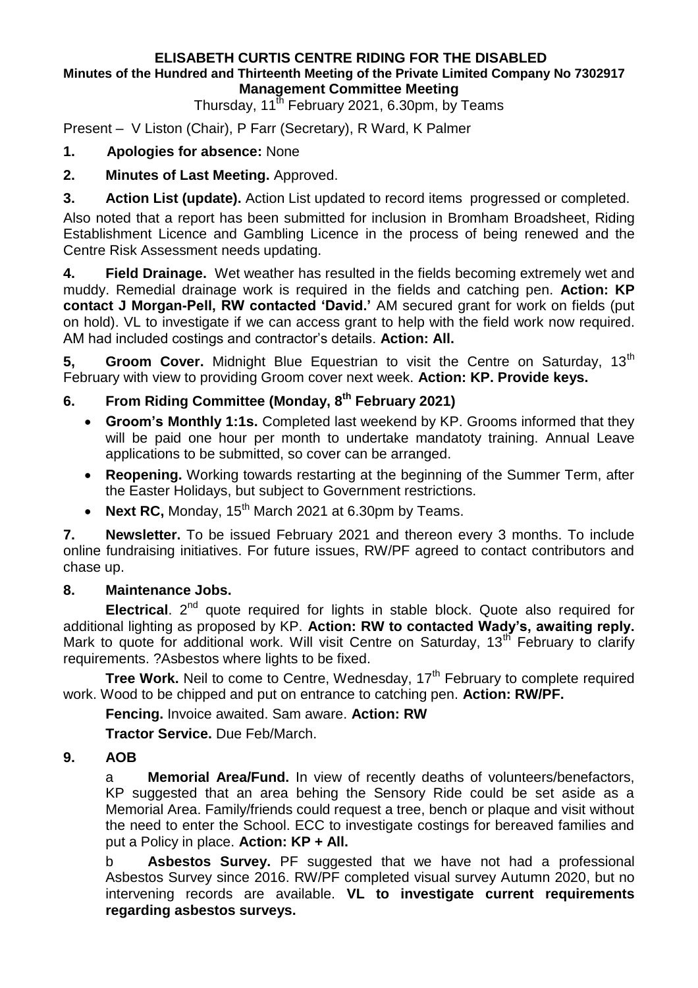#### **ELISABETH CURTIS CENTRE RIDING FOR THE DISABLED Minutes of the Hundred and Thirteenth Meeting of the Private Limited Company No 7302917 Management Committee Meeting**

Thursday, 11<sup>th</sup> February 2021, 6.30pm, by Teams

Present – V Liston (Chair), P Farr (Secretary), R Ward, K Palmer

## **1. Apologies for absence:** None

**2. Minutes of Last Meeting.** Approved.

**3. Action List (update).** Action List updated to record items progressed or completed.

Also noted that a report has been submitted for inclusion in Bromham Broadsheet, Riding Establishment Licence and Gambling Licence in the process of being renewed and the Centre Risk Assessment needs updating.

**4. Field Drainage.** Wet weather has resulted in the fields becoming extremely wet and muddy. Remedial drainage work is required in the fields and catching pen. **Action: KP contact J Morgan-Pell, RW contacted 'David.'** AM secured grant for work on fields (put on hold). VL to investigate if we can access grant to help with the field work now required. AM had included costings and contractor's details. **Action: All.**

**5, Groom Cover.** Midnight Blue Equestrian to visit the Centre on Saturday, 13<sup>th</sup> February with view to providing Groom cover next week. **Action: KP. Provide keys.**

# **6. From Riding Committee (Monday, 8 th February 2021)**

- **Groom's Monthly 1:1s.** Completed last weekend by KP. Grooms informed that they will be paid one hour per month to undertake mandatoty training. Annual Leave applications to be submitted, so cover can be arranged.
- **Reopening.** Working towards restarting at the beginning of the Summer Term, after the Easter Holidays, but subject to Government restrictions.
- Next RC, Monday, 15<sup>th</sup> March 2021 at 6.30pm by Teams.

**7. Newsletter.** To be issued February 2021 and thereon every 3 months. To include online fundraising initiatives. For future issues, RW/PF agreed to contact contributors and chase up.

### **8. Maintenance Jobs.**

**Electrical.** 2<sup>nd</sup> quote required for lights in stable block. Quote also required for additional lighting as proposed by KP. **Action: RW to contacted Wady's, awaiting reply.**  Mark to quote for additional work. Will visit Centre on Saturday, 13<sup>th</sup> February to clarify requirements. ?Asbestos where lights to be fixed.

**Tree Work.** Neil to come to Centre, Wednesday, 17<sup>th</sup> February to complete required work. Wood to be chipped and put on entrance to catching pen. **Action: RW/PF.**

**Fencing.** Invoice awaited. Sam aware. **Action: RW**

**Tractor Service.** Due Feb/March.

### **9. AOB**

a **Memorial Area/Fund.** In view of recently deaths of volunteers/benefactors, KP suggested that an area behing the Sensory Ride could be set aside as a Memorial Area. Family/friends could request a tree, bench or plaque and visit without the need to enter the School. ECC to investigate costings for bereaved families and put a Policy in place. **Action: KP + All.**

b **Asbestos Survey.** PF suggested that we have not had a professional Asbestos Survey since 2016. RW/PF completed visual survey Autumn 2020, but no intervening records are available. **VL to investigate current requirements regarding asbestos surveys.**